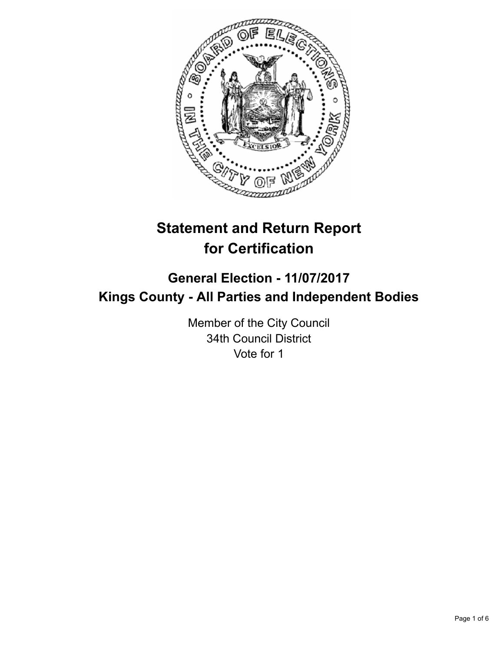

# **Statement and Return Report for Certification**

## **General Election - 11/07/2017 Kings County - All Parties and Independent Bodies**

Member of the City Council 34th Council District Vote for 1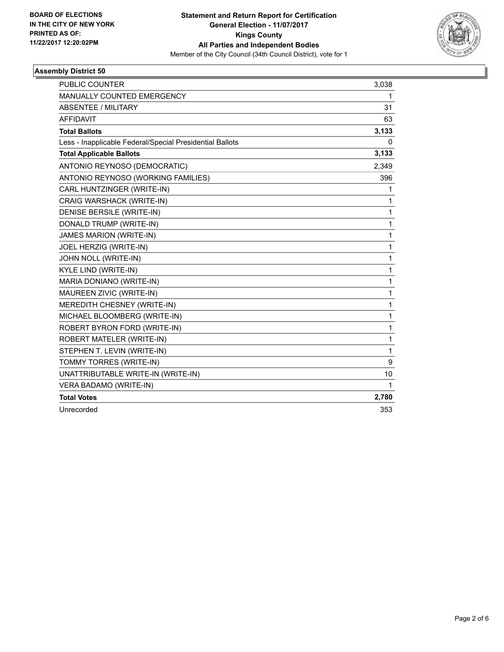

### **Assembly District 50**

| <b>PUBLIC COUNTER</b>                                    | 3,038 |
|----------------------------------------------------------|-------|
| MANUALLY COUNTED EMERGENCY                               | 1     |
| <b>ABSENTEE / MILITARY</b>                               | 31    |
| AFFIDAVIT                                                | 63    |
| <b>Total Ballots</b>                                     | 3,133 |
| Less - Inapplicable Federal/Special Presidential Ballots | 0     |
| <b>Total Applicable Ballots</b>                          | 3,133 |
| ANTONIO REYNOSO (DEMOCRATIC)                             | 2,349 |
| ANTONIO REYNOSO (WORKING FAMILIES)                       | 396   |
| CARL HUNTZINGER (WRITE-IN)                               | 1     |
| CRAIG WARSHACK (WRITE-IN)                                | 1     |
| DENISE BERSILE (WRITE-IN)                                | 1     |
| DONALD TRUMP (WRITE-IN)                                  | 1     |
| <b>JAMES MARION (WRITE-IN)</b>                           | 1     |
| JOEL HERZIG (WRITE-IN)                                   | 1     |
| JOHN NOLL (WRITE-IN)                                     | 1     |
| <b>KYLE LIND (WRITE-IN)</b>                              | 1     |
| MARIA DONIANO (WRITE-IN)                                 | 1     |
| MAUREEN ZIVIC (WRITE-IN)                                 | 1     |
| MEREDITH CHESNEY (WRITE-IN)                              | 1     |
| MICHAEL BLOOMBERG (WRITE-IN)                             | 1     |
| ROBERT BYRON FORD (WRITE-IN)                             | 1     |
| ROBERT MATELER (WRITE-IN)                                | 1     |
| STEPHEN T. LEVIN (WRITE-IN)                              | 1     |
| TOMMY TORRES (WRITE-IN)                                  | 9     |
| UNATTRIBUTABLE WRITE-IN (WRITE-IN)                       | 10    |
| VERA BADAMO (WRITE-IN)                                   | 1     |
| <b>Total Votes</b>                                       | 2,780 |
| Unrecorded                                               | 353   |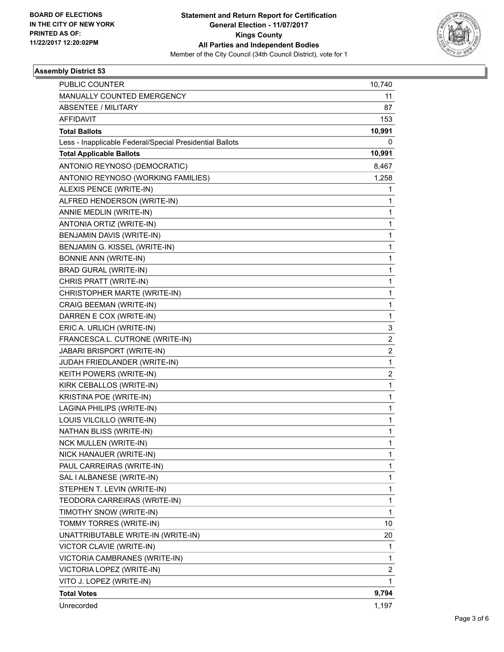

### **Assembly District 53**

| <b>PUBLIC COUNTER</b>                                    | 10,740         |
|----------------------------------------------------------|----------------|
| MANUALLY COUNTED EMERGENCY                               | 11             |
| <b>ABSENTEE / MILITARY</b>                               | 87             |
| <b>AFFIDAVIT</b>                                         | 153            |
| <b>Total Ballots</b>                                     | 10,991         |
| Less - Inapplicable Federal/Special Presidential Ballots | 0              |
| <b>Total Applicable Ballots</b>                          | 10,991         |
| ANTONIO REYNOSO (DEMOCRATIC)                             | 8,467          |
| ANTONIO REYNOSO (WORKING FAMILIES)                       | 1,258          |
| ALEXIS PENCE (WRITE-IN)                                  | 1.             |
| ALFRED HENDERSON (WRITE-IN)                              | 1              |
| ANNIE MEDLIN (WRITE-IN)                                  | 1              |
| ANTONIA ORTIZ (WRITE-IN)                                 | 1              |
| BENJAMIN DAVIS (WRITE-IN)                                | 1              |
| BENJAMIN G. KISSEL (WRITE-IN)                            | 1              |
| <b>BONNIE ANN (WRITE-IN)</b>                             | 1              |
| <b>BRAD GURAL (WRITE-IN)</b>                             | 1              |
| CHRIS PRATT (WRITE-IN)                                   | 1              |
| CHRISTOPHER MARTE (WRITE-IN)                             | 1              |
| <b>CRAIG BEEMAN (WRITE-IN)</b>                           | 1              |
| DARREN E COX (WRITE-IN)                                  | 1              |
| ERIC A. URLICH (WRITE-IN)                                | 3              |
| FRANCESCA L. CUTRONE (WRITE-IN)                          | $\overline{2}$ |
| JABARI BRISPORT (WRITE-IN)                               | $\overline{c}$ |
| JUDAH FRIEDLANDER (WRITE-IN)                             | 1              |
| KEITH POWERS (WRITE-IN)                                  | $\overline{c}$ |
| KIRK CEBALLOS (WRITE-IN)                                 | 1              |
| KRISTINA POE (WRITE-IN)                                  | 1              |
| LAGINA PHILIPS (WRITE-IN)                                | 1              |
| LOUIS VILCILLO (WRITE-IN)                                | 1              |
| NATHAN BLISS (WRITE-IN)                                  | 1              |
| <b>NCK MULLEN (WRITE-IN)</b>                             | 1              |
| NICK HANAUER (WRITE-IN)                                  | 1              |
| PAUL CARREIRAS (WRITE-IN)                                | 1              |
| SAL I ALBANESE (WRITE-IN)                                | 1              |
| STEPHEN T. LEVIN (WRITE-IN)                              | 1              |
| TEODORA CARREIRAS (WRITE-IN)                             | 1              |
| TIMOTHY SNOW (WRITE-IN)                                  | 1              |
| TOMMY TORRES (WRITE-IN)                                  | 10             |
| UNATTRIBUTABLE WRITE-IN (WRITE-IN)                       | 20             |
| VICTOR CLAVIE (WRITE-IN)                                 | 1              |
| VICTORIA CAMBRANES (WRITE-IN)                            | 1              |
| VICTORIA LOPEZ (WRITE-IN)                                | $\overline{c}$ |
| VITO J. LOPEZ (WRITE-IN)                                 | 1              |
| <b>Total Votes</b>                                       | 9,794          |
| Unrecorded                                               | 1,197          |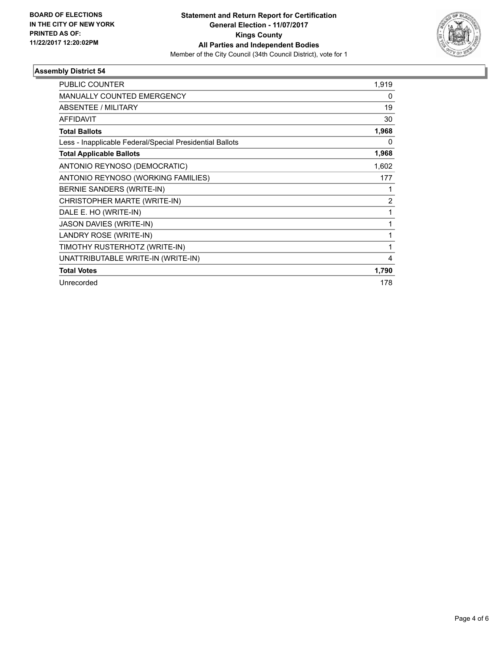

### **Assembly District 54**

| <b>PUBLIC COUNTER</b>                                    | 1,919          |
|----------------------------------------------------------|----------------|
| <b>MANUALLY COUNTED EMERGENCY</b>                        | 0              |
| ABSENTEE / MILITARY                                      | 19             |
| <b>AFFIDAVIT</b>                                         | 30             |
| <b>Total Ballots</b>                                     | 1,968          |
| Less - Inapplicable Federal/Special Presidential Ballots | 0              |
| <b>Total Applicable Ballots</b>                          | 1,968          |
| ANTONIO REYNOSO (DEMOCRATIC)                             | 1,602          |
| ANTONIO REYNOSO (WORKING FAMILIES)                       | 177            |
| BERNIE SANDERS (WRITE-IN)                                |                |
| CHRISTOPHER MARTE (WRITE-IN)                             | $\overline{2}$ |
| DALE E. HO (WRITE-IN)                                    | 1              |
| JASON DAVIES (WRITE-IN)                                  | 1              |
| LANDRY ROSE (WRITE-IN)                                   |                |
| TIMOTHY RUSTERHOTZ (WRITE-IN)                            | 1              |
| UNATTRIBUTABLE WRITE-IN (WRITE-IN)                       | 4              |
| <b>Total Votes</b>                                       | 1,790          |
| Unrecorded                                               | 178            |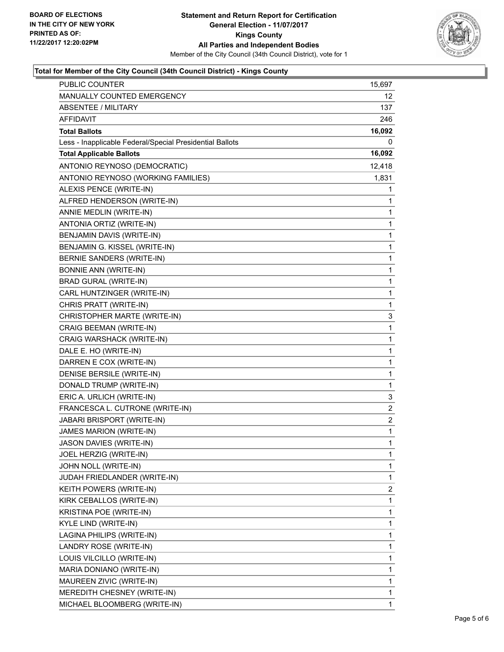

### **Total for Member of the City Council (34th Council District) - Kings County**

| MANUALLY COUNTED EMERGENCY<br>12.<br><b>ABSENTEE / MILITARY</b><br>137<br>AFFIDAVIT<br>246<br>16,092<br><b>Total Ballots</b><br>Less - Inapplicable Federal/Special Presidential Ballots<br>0<br><b>Total Applicable Ballots</b><br>16,092<br>ANTONIO REYNOSO (DEMOCRATIC)<br>12,418<br>ANTONIO REYNOSO (WORKING FAMILIES)<br>1,831<br>ALEXIS PENCE (WRITE-IN)<br>1<br>ALFRED HENDERSON (WRITE-IN)<br>1<br>ANNIE MEDLIN (WRITE-IN)<br>1<br>ANTONIA ORTIZ (WRITE-IN)<br>1<br>BENJAMIN DAVIS (WRITE-IN)<br>1<br>BENJAMIN G. KISSEL (WRITE-IN)<br>1<br>BERNIE SANDERS (WRITE-IN)<br>1<br><b>BONNIE ANN (WRITE-IN)</b><br>1<br><b>BRAD GURAL (WRITE-IN)</b><br>1<br>CARL HUNTZINGER (WRITE-IN)<br>1<br>CHRIS PRATT (WRITE-IN)<br>1<br>3<br>CHRISTOPHER MARTE (WRITE-IN)<br><b>CRAIG BEEMAN (WRITE-IN)</b><br>1<br>CRAIG WARSHACK (WRITE-IN)<br>1<br>DALE E. HO (WRITE-IN)<br>1<br>DARREN E COX (WRITE-IN)<br>1<br>DENISE BERSILE (WRITE-IN)<br>1<br>DONALD TRUMP (WRITE-IN)<br>1<br>ERIC A. URLICH (WRITE-IN)<br>3<br>FRANCESCA L. CUTRONE (WRITE-IN)<br>2<br>JABARI BRISPORT (WRITE-IN)<br>2<br>JAMES MARION (WRITE-IN)<br>1<br>JASON DAVIES (WRITE-IN)<br>$\mathbf{1}$<br>JOEL HERZIG (WRITE-IN)<br>1<br>JOHN NOLL (WRITE-IN)<br>1<br>JUDAH FRIEDLANDER (WRITE-IN)<br>$\mathbf 1$<br>2<br>KEITH POWERS (WRITE-IN)<br>KIRK CEBALLOS (WRITE-IN)<br>1<br>KRISTINA POE (WRITE-IN)<br>1<br>KYLE LIND (WRITE-IN)<br>1<br>LAGINA PHILIPS (WRITE-IN)<br>1<br>LANDRY ROSE (WRITE-IN)<br>1<br>LOUIS VILCILLO (WRITE-IN)<br>1<br>MARIA DONIANO (WRITE-IN)<br>1<br>MAUREEN ZIVIC (WRITE-IN)<br>1<br>MEREDITH CHESNEY (WRITE-IN)<br>1<br>MICHAEL BLOOMBERG (WRITE-IN)<br>1 | <b>PUBLIC COUNTER</b> | 15,697 |
|-------------------------------------------------------------------------------------------------------------------------------------------------------------------------------------------------------------------------------------------------------------------------------------------------------------------------------------------------------------------------------------------------------------------------------------------------------------------------------------------------------------------------------------------------------------------------------------------------------------------------------------------------------------------------------------------------------------------------------------------------------------------------------------------------------------------------------------------------------------------------------------------------------------------------------------------------------------------------------------------------------------------------------------------------------------------------------------------------------------------------------------------------------------------------------------------------------------------------------------------------------------------------------------------------------------------------------------------------------------------------------------------------------------------------------------------------------------------------------------------------------------------------------------------------------------------------------------------------------------------------------------------------------------|-----------------------|--------|
|                                                                                                                                                                                                                                                                                                                                                                                                                                                                                                                                                                                                                                                                                                                                                                                                                                                                                                                                                                                                                                                                                                                                                                                                                                                                                                                                                                                                                                                                                                                                                                                                                                                             |                       |        |
|                                                                                                                                                                                                                                                                                                                                                                                                                                                                                                                                                                                                                                                                                                                                                                                                                                                                                                                                                                                                                                                                                                                                                                                                                                                                                                                                                                                                                                                                                                                                                                                                                                                             |                       |        |
|                                                                                                                                                                                                                                                                                                                                                                                                                                                                                                                                                                                                                                                                                                                                                                                                                                                                                                                                                                                                                                                                                                                                                                                                                                                                                                                                                                                                                                                                                                                                                                                                                                                             |                       |        |
|                                                                                                                                                                                                                                                                                                                                                                                                                                                                                                                                                                                                                                                                                                                                                                                                                                                                                                                                                                                                                                                                                                                                                                                                                                                                                                                                                                                                                                                                                                                                                                                                                                                             |                       |        |
|                                                                                                                                                                                                                                                                                                                                                                                                                                                                                                                                                                                                                                                                                                                                                                                                                                                                                                                                                                                                                                                                                                                                                                                                                                                                                                                                                                                                                                                                                                                                                                                                                                                             |                       |        |
|                                                                                                                                                                                                                                                                                                                                                                                                                                                                                                                                                                                                                                                                                                                                                                                                                                                                                                                                                                                                                                                                                                                                                                                                                                                                                                                                                                                                                                                                                                                                                                                                                                                             |                       |        |
|                                                                                                                                                                                                                                                                                                                                                                                                                                                                                                                                                                                                                                                                                                                                                                                                                                                                                                                                                                                                                                                                                                                                                                                                                                                                                                                                                                                                                                                                                                                                                                                                                                                             |                       |        |
|                                                                                                                                                                                                                                                                                                                                                                                                                                                                                                                                                                                                                                                                                                                                                                                                                                                                                                                                                                                                                                                                                                                                                                                                                                                                                                                                                                                                                                                                                                                                                                                                                                                             |                       |        |
|                                                                                                                                                                                                                                                                                                                                                                                                                                                                                                                                                                                                                                                                                                                                                                                                                                                                                                                                                                                                                                                                                                                                                                                                                                                                                                                                                                                                                                                                                                                                                                                                                                                             |                       |        |
|                                                                                                                                                                                                                                                                                                                                                                                                                                                                                                                                                                                                                                                                                                                                                                                                                                                                                                                                                                                                                                                                                                                                                                                                                                                                                                                                                                                                                                                                                                                                                                                                                                                             |                       |        |
|                                                                                                                                                                                                                                                                                                                                                                                                                                                                                                                                                                                                                                                                                                                                                                                                                                                                                                                                                                                                                                                                                                                                                                                                                                                                                                                                                                                                                                                                                                                                                                                                                                                             |                       |        |
|                                                                                                                                                                                                                                                                                                                                                                                                                                                                                                                                                                                                                                                                                                                                                                                                                                                                                                                                                                                                                                                                                                                                                                                                                                                                                                                                                                                                                                                                                                                                                                                                                                                             |                       |        |
|                                                                                                                                                                                                                                                                                                                                                                                                                                                                                                                                                                                                                                                                                                                                                                                                                                                                                                                                                                                                                                                                                                                                                                                                                                                                                                                                                                                                                                                                                                                                                                                                                                                             |                       |        |
|                                                                                                                                                                                                                                                                                                                                                                                                                                                                                                                                                                                                                                                                                                                                                                                                                                                                                                                                                                                                                                                                                                                                                                                                                                                                                                                                                                                                                                                                                                                                                                                                                                                             |                       |        |
|                                                                                                                                                                                                                                                                                                                                                                                                                                                                                                                                                                                                                                                                                                                                                                                                                                                                                                                                                                                                                                                                                                                                                                                                                                                                                                                                                                                                                                                                                                                                                                                                                                                             |                       |        |
|                                                                                                                                                                                                                                                                                                                                                                                                                                                                                                                                                                                                                                                                                                                                                                                                                                                                                                                                                                                                                                                                                                                                                                                                                                                                                                                                                                                                                                                                                                                                                                                                                                                             |                       |        |
|                                                                                                                                                                                                                                                                                                                                                                                                                                                                                                                                                                                                                                                                                                                                                                                                                                                                                                                                                                                                                                                                                                                                                                                                                                                                                                                                                                                                                                                                                                                                                                                                                                                             |                       |        |
|                                                                                                                                                                                                                                                                                                                                                                                                                                                                                                                                                                                                                                                                                                                                                                                                                                                                                                                                                                                                                                                                                                                                                                                                                                                                                                                                                                                                                                                                                                                                                                                                                                                             |                       |        |
|                                                                                                                                                                                                                                                                                                                                                                                                                                                                                                                                                                                                                                                                                                                                                                                                                                                                                                                                                                                                                                                                                                                                                                                                                                                                                                                                                                                                                                                                                                                                                                                                                                                             |                       |        |
|                                                                                                                                                                                                                                                                                                                                                                                                                                                                                                                                                                                                                                                                                                                                                                                                                                                                                                                                                                                                                                                                                                                                                                                                                                                                                                                                                                                                                                                                                                                                                                                                                                                             |                       |        |
|                                                                                                                                                                                                                                                                                                                                                                                                                                                                                                                                                                                                                                                                                                                                                                                                                                                                                                                                                                                                                                                                                                                                                                                                                                                                                                                                                                                                                                                                                                                                                                                                                                                             |                       |        |
|                                                                                                                                                                                                                                                                                                                                                                                                                                                                                                                                                                                                                                                                                                                                                                                                                                                                                                                                                                                                                                                                                                                                                                                                                                                                                                                                                                                                                                                                                                                                                                                                                                                             |                       |        |
|                                                                                                                                                                                                                                                                                                                                                                                                                                                                                                                                                                                                                                                                                                                                                                                                                                                                                                                                                                                                                                                                                                                                                                                                                                                                                                                                                                                                                                                                                                                                                                                                                                                             |                       |        |
|                                                                                                                                                                                                                                                                                                                                                                                                                                                                                                                                                                                                                                                                                                                                                                                                                                                                                                                                                                                                                                                                                                                                                                                                                                                                                                                                                                                                                                                                                                                                                                                                                                                             |                       |        |
|                                                                                                                                                                                                                                                                                                                                                                                                                                                                                                                                                                                                                                                                                                                                                                                                                                                                                                                                                                                                                                                                                                                                                                                                                                                                                                                                                                                                                                                                                                                                                                                                                                                             |                       |        |
|                                                                                                                                                                                                                                                                                                                                                                                                                                                                                                                                                                                                                                                                                                                                                                                                                                                                                                                                                                                                                                                                                                                                                                                                                                                                                                                                                                                                                                                                                                                                                                                                                                                             |                       |        |
|                                                                                                                                                                                                                                                                                                                                                                                                                                                                                                                                                                                                                                                                                                                                                                                                                                                                                                                                                                                                                                                                                                                                                                                                                                                                                                                                                                                                                                                                                                                                                                                                                                                             |                       |        |
|                                                                                                                                                                                                                                                                                                                                                                                                                                                                                                                                                                                                                                                                                                                                                                                                                                                                                                                                                                                                                                                                                                                                                                                                                                                                                                                                                                                                                                                                                                                                                                                                                                                             |                       |        |
|                                                                                                                                                                                                                                                                                                                                                                                                                                                                                                                                                                                                                                                                                                                                                                                                                                                                                                                                                                                                                                                                                                                                                                                                                                                                                                                                                                                                                                                                                                                                                                                                                                                             |                       |        |
|                                                                                                                                                                                                                                                                                                                                                                                                                                                                                                                                                                                                                                                                                                                                                                                                                                                                                                                                                                                                                                                                                                                                                                                                                                                                                                                                                                                                                                                                                                                                                                                                                                                             |                       |        |
|                                                                                                                                                                                                                                                                                                                                                                                                                                                                                                                                                                                                                                                                                                                                                                                                                                                                                                                                                                                                                                                                                                                                                                                                                                                                                                                                                                                                                                                                                                                                                                                                                                                             |                       |        |
|                                                                                                                                                                                                                                                                                                                                                                                                                                                                                                                                                                                                                                                                                                                                                                                                                                                                                                                                                                                                                                                                                                                                                                                                                                                                                                                                                                                                                                                                                                                                                                                                                                                             |                       |        |
|                                                                                                                                                                                                                                                                                                                                                                                                                                                                                                                                                                                                                                                                                                                                                                                                                                                                                                                                                                                                                                                                                                                                                                                                                                                                                                                                                                                                                                                                                                                                                                                                                                                             |                       |        |
|                                                                                                                                                                                                                                                                                                                                                                                                                                                                                                                                                                                                                                                                                                                                                                                                                                                                                                                                                                                                                                                                                                                                                                                                                                                                                                                                                                                                                                                                                                                                                                                                                                                             |                       |        |
|                                                                                                                                                                                                                                                                                                                                                                                                                                                                                                                                                                                                                                                                                                                                                                                                                                                                                                                                                                                                                                                                                                                                                                                                                                                                                                                                                                                                                                                                                                                                                                                                                                                             |                       |        |
|                                                                                                                                                                                                                                                                                                                                                                                                                                                                                                                                                                                                                                                                                                                                                                                                                                                                                                                                                                                                                                                                                                                                                                                                                                                                                                                                                                                                                                                                                                                                                                                                                                                             |                       |        |
|                                                                                                                                                                                                                                                                                                                                                                                                                                                                                                                                                                                                                                                                                                                                                                                                                                                                                                                                                                                                                                                                                                                                                                                                                                                                                                                                                                                                                                                                                                                                                                                                                                                             |                       |        |
|                                                                                                                                                                                                                                                                                                                                                                                                                                                                                                                                                                                                                                                                                                                                                                                                                                                                                                                                                                                                                                                                                                                                                                                                                                                                                                                                                                                                                                                                                                                                                                                                                                                             |                       |        |
|                                                                                                                                                                                                                                                                                                                                                                                                                                                                                                                                                                                                                                                                                                                                                                                                                                                                                                                                                                                                                                                                                                                                                                                                                                                                                                                                                                                                                                                                                                                                                                                                                                                             |                       |        |
|                                                                                                                                                                                                                                                                                                                                                                                                                                                                                                                                                                                                                                                                                                                                                                                                                                                                                                                                                                                                                                                                                                                                                                                                                                                                                                                                                                                                                                                                                                                                                                                                                                                             |                       |        |
|                                                                                                                                                                                                                                                                                                                                                                                                                                                                                                                                                                                                                                                                                                                                                                                                                                                                                                                                                                                                                                                                                                                                                                                                                                                                                                                                                                                                                                                                                                                                                                                                                                                             |                       |        |
|                                                                                                                                                                                                                                                                                                                                                                                                                                                                                                                                                                                                                                                                                                                                                                                                                                                                                                                                                                                                                                                                                                                                                                                                                                                                                                                                                                                                                                                                                                                                                                                                                                                             |                       |        |
|                                                                                                                                                                                                                                                                                                                                                                                                                                                                                                                                                                                                                                                                                                                                                                                                                                                                                                                                                                                                                                                                                                                                                                                                                                                                                                                                                                                                                                                                                                                                                                                                                                                             |                       |        |
|                                                                                                                                                                                                                                                                                                                                                                                                                                                                                                                                                                                                                                                                                                                                                                                                                                                                                                                                                                                                                                                                                                                                                                                                                                                                                                                                                                                                                                                                                                                                                                                                                                                             |                       |        |
|                                                                                                                                                                                                                                                                                                                                                                                                                                                                                                                                                                                                                                                                                                                                                                                                                                                                                                                                                                                                                                                                                                                                                                                                                                                                                                                                                                                                                                                                                                                                                                                                                                                             |                       |        |